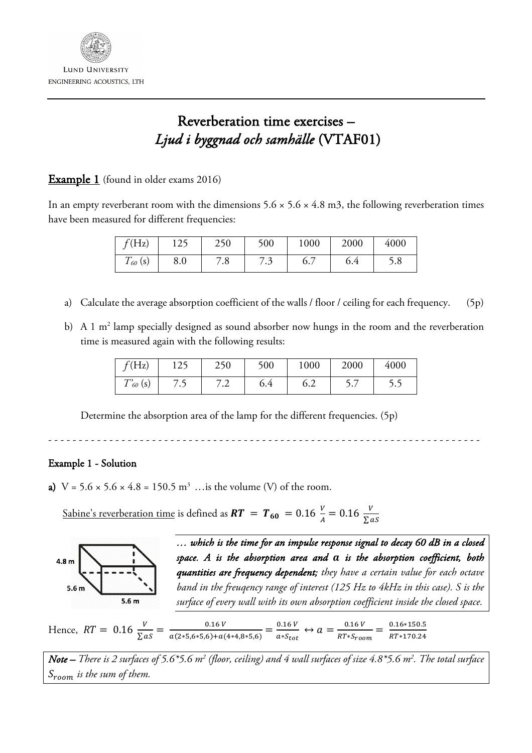

## Reverberation time exercises – *Ljud i byggnad och samhälle* (VTAF01)

## **Example 1** (found in older exams 2016)

In an empty reverberant room with the dimensions  $5.6 \times 5.6 \times 4.8$  m3, the following reverberation times have been measured for different frequencies:

| f(Hz)        | $\eta$<br>エムノ | 250       | 500     | 1000              | 2000 | 4000 |
|--------------|---------------|-----------|---------|-------------------|------|------|
| $T_{60}$ (s) | 8.0           | $\cdot$ o | $\cdot$ | $\epsilon$<br>0., | 6.4  | 5.8  |

- a) Calculate the average absorption coefficient of the walls / floor / ceiling for each frequency. (5p)
- b) A 1  $m<sup>2</sup>$  lamp specially designed as sound absorber now hungs in the room and the reverberation time is measured again with the following results:

| f(Hz)         | 125  | 250     | 500 | 1000 | 2000 | 4000 |
|---------------|------|---------|-----|------|------|------|
| $T'_{60}$ (s) | / ・ノ | $\cdot$ | 6.4 | 6.2  |      |      |

Determine the absorption area of the lamp for the different frequencies. (5p)

- - - - - - - - - - - - - - - - - - - - - - - - - - - - - - - - - - - - - - - - - - - - - - - - - - - - - - - - - - - - - - - - - - - - - - -

## Example 1 - Solution

a)  $V = 5.6 \times 5.6 \times 4.8 = 150.5 \text{ m}^3$  ... is the volume (V) of the room.

<u>Sabine's reverberation time</u> is defined as  $\bm{RT}$  =  $\bm{T_{60}}$  = 0.16  $\frac{V}{A}$  = 0.16  $\frac{V}{\sum as}$ 



*… which is the time for an impulse response signal to decay 60 dB in a closed space. A is the absorption area and is the absorption coefficient, both quantities are frequency dependent; they have a certain value for each octave band in the freuqency range of interest (125 Hz to 4kHz in this case). S is the surface of every wall with its own absorption coefficient inside the closed space.* 

Hence,  $RT = 0.16 \frac{V}{\sum as} = \frac{0.16 V}{a(2*5,6*5,6) + a(4*4,8*5,6)} = \frac{0.16 V}{a*5_{tot}} \leftrightarrow a = \frac{0.16 V}{RT*5_{room}} = \frac{0.16*150.5}{RT*170.24}$ 

*Note – There is 2 surfaces of 5.6\*5.6 m2 (floor, ceiling) and 4 wall surfaces of size 4.8\*5.6 m2 . The total surface*   $S_{room}$  *is the sum of them.*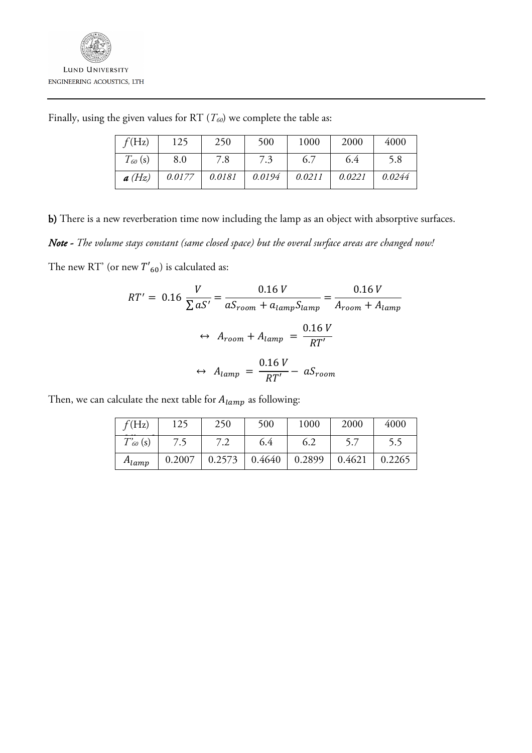| f(Hz)        | 125    | 250    | 500    | 1000   | 2000   | 4000   |
|--------------|--------|--------|--------|--------|--------|--------|
| $T_{60}$ (s) | 8.0    | 7.8    | 7.3    | 6.7    | 6.4    | 5.8    |
| a(Hz)        | 0.0177 | 0.0181 | 0.0194 | 0.0211 | 0.0221 | 0.0244 |

Finally, using the given values for RT ( $T_{60}$ ) we complete the table as:

b) There is a new reverberation time now including the lamp as an object with absorptive surfaces.

*Note - The volume stays constant (same closed space) but the overal surface areas are changed now!* 

The new RT' (or new  $T{'}_{60}$ ) is calculated as:

$$
RT' = 0.16 \frac{V}{\sum aS'} = \frac{0.16 V}{aS_{room} + a_{lamp}S_{lamp}} = \frac{0.16 V}{A_{room} + A_{lamp}}
$$

$$
\leftrightarrow A_{room} + A_{lamp} = \frac{0.16 V}{RT'}
$$

$$
\leftrightarrow A_{lamp} = \frac{0.16 V}{RT'} - aS_{room}
$$

Then, we can calculate the next table for  $A_{lamp}$  as following:

| f(Hz)         | 125    | 250    | 500    | 1000   | 2000   | 4000   |
|---------------|--------|--------|--------|--------|--------|--------|
| $T'_{60}$ (s) |        | 7.2    | 6.4    | 6.2    |        |        |
| $A_{lamp}$    | 0.2007 | 0.2573 | 0.4640 | 0.2899 | 0.4621 | 0.2265 |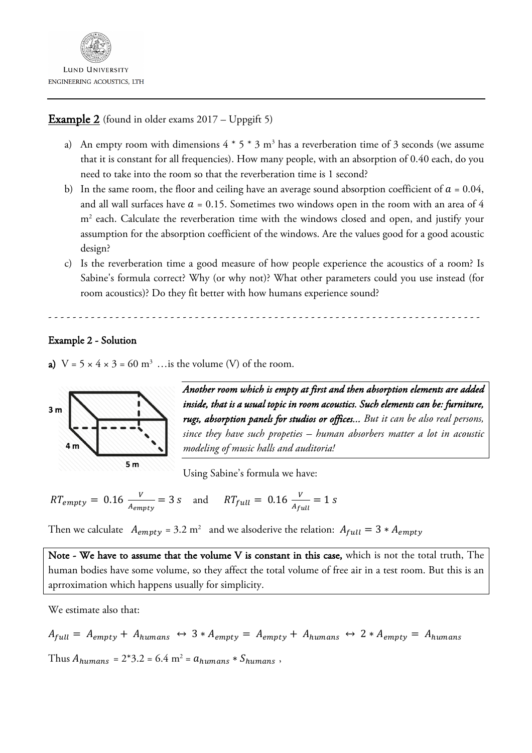

## **Example 2** (found in older exams 2017 – Uppgift 5)

- a) An empty room with dimensions  $4 * 5 * 3$  m<sup>3</sup> has a reverberation time of 3 seconds (we assume that it is constant for all frequencies). How many people, with an absorption of 0.40 each, do you need to take into the room so that the reverberation time is 1 second?
- b) In the same room, the floor and ceiling have an average sound absorption coefficient of  $a = 0.04$ , and all wall surfaces have  $a = 0.15$ . Sometimes two windows open in the room with an area of 4 m<sup>2</sup> each. Calculate the reverberation time with the windows closed and open, and justify your assumption for the absorption coefficient of the windows. Are the values good for a good acoustic design?
- c) Is the reverberation time a good measure of how people experience the acoustics of a room? Is Sabine's formula correct? Why (or why not)? What other parameters could you use instead (for room acoustics)? Do they fit better with how humans experience sound?

- - - - - - - - - - - - - - - - - - - - - - - - - - - - - - - - - - - - - - - - - - - - - - - - - - - - - - - - - - - - - - - - - - - - - - -

Example 2 - Solution

a)  $V = 5 \times 4 \times 3 = 60$  m<sup>3</sup> ... is the volume (V) of the room.



*Another room which is empty at first and then absorption elements are added inside, that is a usual topic in room acoustics. Such elements can be: furniture, rugs, absorption panels for studios or offices... But it can be also real persons, since they have such propeties – human absorbers matter a lot in acoustic modeling of music halls and auditoria!*

Using Sabine's formula we have:

$$
RT_{empty} = 0.16 \frac{v}{A_{empty}} = 3 s \quad \text{and} \quad RT_{full} = 0.16 \frac{v}{A_{full}} = 1 s
$$

Then we calculate  $A_{empty} = 3.2 \text{ m}^2$  and we alsoderive the relation:  $A_{full} = 3 * A_{empty}$ 

Note - We have to assume that the volume V is constant in this case, which is not the total truth, The human bodies have some volume, so they affect the total volume of free air in a test room. But this is an aprroximation which happens usually for simplicity.

We estimate also that:

$$
A_{full} = A_{empty} + A_{humans} \leftrightarrow 3 * A_{empty} = A_{empty} + A_{humans} \leftrightarrow 2 * A_{empty} = A_{humans}
$$

Thus  $A_{humans} = 2*3.2 = 6.4$  m<sup>2</sup> =  $a_{humans} * S_{humans}$ ,